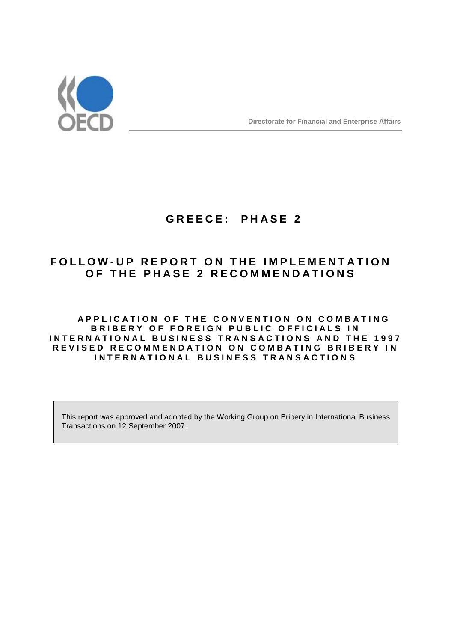

# **G R E E C E : P H A S E 2**

# **F O L L O W - U P R E P O R T O N T H E I M P L E M E N T A T I O N OF THE PHASE 2 RECOMMENDATIONS**

# **A P P L I C A T I O N O F T H E C O N V E N T I O N O N C O M B A T I N G BRIBERY OF FOREIGN PUBLIC OFFICIALS IN INTERNATIONAL BUSINESS TRANSACTIONS AND THE 1997 REVISED RECOMMENDATION ON COMBATING BRIBERY IN I N T E R N A T I O N A L B U S I N E S S T R A N S A C T I O N S**

This report was approved and adopted by the Working Group on Bribery in International Business Transactions on 12 September 2007.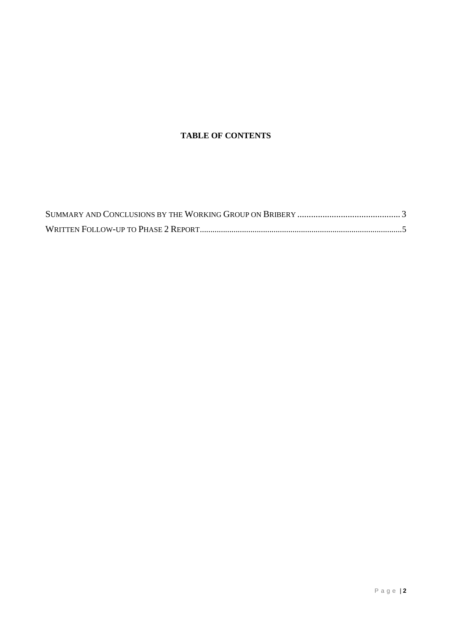# **TABLE OF CONTENTS**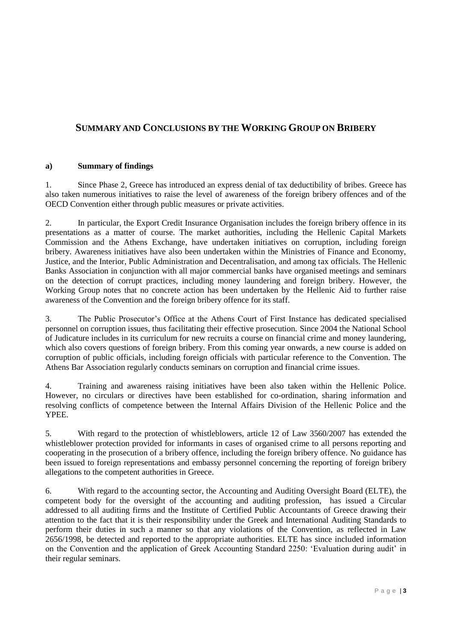# **SUMMARY AND CONCLUSIONS BY THE WORKING GROUP ON BRIBERY**

# **a) Summary of findings**

1. Since Phase 2, Greece has introduced an express denial of tax deductibility of bribes. Greece has also taken numerous initiatives to raise the level of awareness of the foreign bribery offences and of the OECD Convention either through public measures or private activities.

2. In particular, the Export Credit Insurance Organisation includes the foreign bribery offence in its presentations as a matter of course. The market authorities, including the Hellenic Capital Markets Commission and the Athens Exchange, have undertaken initiatives on corruption, including foreign bribery. Awareness initiatives have also been undertaken within the Ministries of Finance and Economy, Justice, and the Interior, Public Administration and Decentralisation, and among tax officials. The Hellenic Banks Association in conjunction with all major commercial banks have organised meetings and seminars on the detection of corrupt practices, including money laundering and foreign bribery. However, the Working Group notes that no concrete action has been undertaken by the Hellenic Aid to further raise awareness of the Convention and the foreign bribery offence for its staff.

3. The Public Prosecutor"s Office at the Athens Court of First Instance has dedicated specialised personnel on corruption issues, thus facilitating their effective prosecution. Since 2004 the National School of Judicature includes in its curriculum for new recruits a course on financial crime and money laundering, which also covers questions of foreign bribery. From this coming year onwards, a new course is added on corruption of public officials, including foreign officials with particular reference to the Convention. The Athens Bar Association regularly conducts seminars on corruption and financial crime issues.

4. Training and awareness raising initiatives have been also taken within the Hellenic Police. However, no circulars or directives have been established for co-ordination, sharing information and resolving conflicts of competence between the Internal Affairs Division of the Hellenic Police and the YPEE.

5. With regard to the protection of whistleblowers, article 12 of Law 3560/2007 has extended the whistleblower protection provided for informants in cases of organised crime to all persons reporting and cooperating in the prosecution of a bribery offence, including the foreign bribery offence. No guidance has been issued to foreign representations and embassy personnel concerning the reporting of foreign bribery allegations to the competent authorities in Greece.

6. With regard to the accounting sector, the Accounting and Auditing Oversight Board (ELTE), the competent body for the oversight of the accounting and auditing profession, has issued a Circular addressed to all auditing firms and the Institute of Certified Public Accountants of Greece drawing their attention to the fact that it is their responsibility under the Greek and International Auditing Standards to perform their duties in such a manner so that any violations of the Convention, as reflected in Law 2656/1998, be detected and reported to the appropriate authorities. ELTE has since included information on the Convention and the application of Greek Accounting Standard 2250: "Evaluation during audit" in their regular seminars.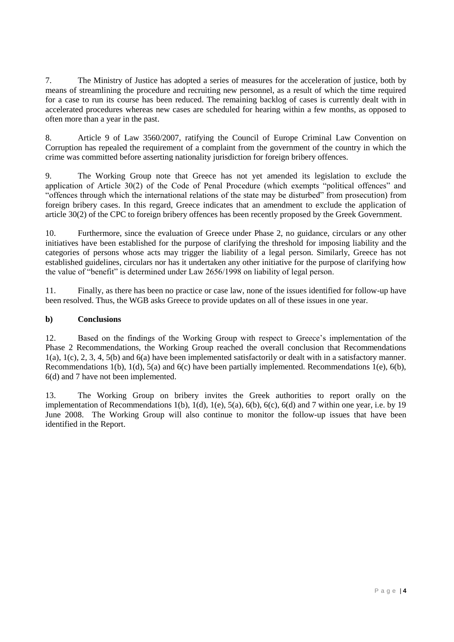7. The Ministry of Justice has adopted a series of measures for the acceleration of justice, both by means of streamlining the procedure and recruiting new personnel, as a result of which the time required for a case to run its course has been reduced. The remaining backlog of cases is currently dealt with in accelerated procedures whereas new cases are scheduled for hearing within a few months, as opposed to often more than a year in the past.

8. Article 9 of Law 3560/2007, ratifying the Council of Europe Criminal Law Convention on Corruption has repealed the requirement of a complaint from the government of the country in which the crime was committed before asserting nationality jurisdiction for foreign bribery offences.

9. The Working Group note that Greece has not yet amended its legislation to exclude the application of Article 30(2) of the Code of Penal Procedure (which exempts "political offences" and "offences through which the international relations of the state may be disturbed" from prosecution) from foreign bribery cases. In this regard, Greece indicates that an amendment to exclude the application of article 30(2) of the CPC to foreign bribery offences has been recently proposed by the Greek Government.

10. Furthermore, since the evaluation of Greece under Phase 2, no guidance, circulars or any other initiatives have been established for the purpose of clarifying the threshold for imposing liability and the categories of persons whose acts may trigger the liability of a legal person. Similarly, Greece has not established guidelines, circulars nor has it undertaken any other initiative for the purpose of clarifying how the value of "benefit" is determined under Law 2656/1998 on liability of legal person.

11. Finally, as there has been no practice or case law, none of the issues identified for follow-up have been resolved. Thus, the WGB asks Greece to provide updates on all of these issues in one year.

# **b) Conclusions**

12. Based on the findings of the Working Group with respect to Greece"s implementation of the Phase 2 Recommendations, the Working Group reached the overall conclusion that Recommendations 1(a), 1(c), 2, 3, 4, 5(b) and 6(a) have been implemented satisfactorily or dealt with in a satisfactory manner. Recommendations 1(b), 1(d), 5(a) and 6(c) have been partially implemented. Recommendations 1(e), 6(b), 6(d) and 7 have not been implemented.

13. The Working Group on bribery invites the Greek authorities to report orally on the implementation of Recommendations 1(b), 1(d), 1(e), 5(a), 6(b), 6(c), 6(d) and 7 within one year, i.e. by 19 June 2008. The Working Group will also continue to monitor the follow-up issues that have been identified in the Report.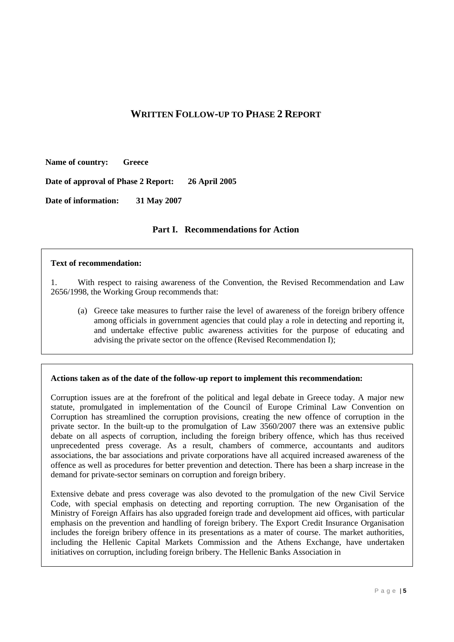# **WRITTEN FOLLOW-UP TO PHASE 2 REPORT**

**Name of country: Greece**

**Date of approval of Phase 2 Report: 26 April 2005**

**Date of information: 31 May 2007**

# **Part I. Recommendations for Action**

#### **Text of recommendation:**

1. With respect to raising awareness of the Convention, the Revised Recommendation and Law 2656/1998, the Working Group recommends that:

(a) Greece take measures to further raise the level of awareness of the foreign bribery offence among officials in government agencies that could play a role in detecting and reporting it, and undertake effective public awareness activities for the purpose of educating and advising the private sector on the offence (Revised Recommendation I);

# **Actions taken as of the date of the follow-up report to implement this recommendation:**

Corruption issues are at the forefront of the political and legal debate in Greece today. A major new statute, promulgated in implementation of the Council of Europe Criminal Law Convention on Corruption has streamlined the corruption provisions, creating the new offence of corruption in the private sector. In the built-up to the promulgation of Law 3560/2007 there was an extensive public debate on all aspects of corruption, including the foreign bribery offence, which has thus received unprecedented press coverage. As a result, chambers of commerce, accountants and auditors associations, the bar associations and private corporations have all acquired increased awareness of the offence as well as procedures for better prevention and detection. There has been a sharp increase in the demand for private-sector seminars on corruption and foreign bribery.

Extensive debate and press coverage was also devoted to the promulgation of the new Civil Service Code, with special emphasis on detecting and reporting corruption. The new Organisation of the Ministry of Foreign Affairs has also upgraded foreign trade and development aid offices, with particular emphasis on the prevention and handling of foreign bribery. The Export Credit Insurance Organisation includes the foreign bribery offence in its presentations as a mater of course. The market authorities, including the Hellenic Capital Markets Commission and the Athens Exchange, have undertaken initiatives on corruption, including foreign bribery. The Hellenic Banks Association in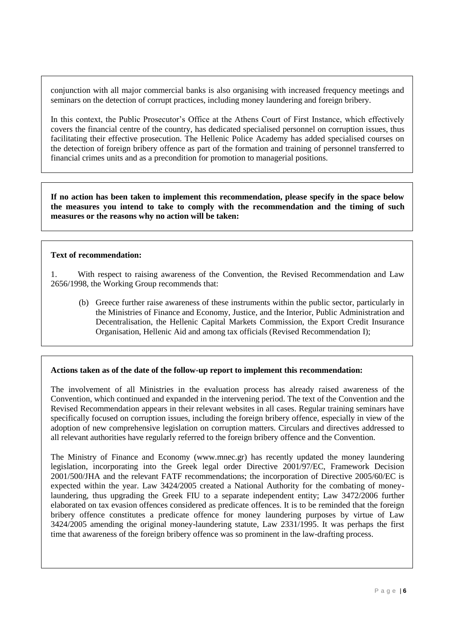conjunction with all major commercial banks is also organising with increased frequency meetings and seminars on the detection of corrupt practices, including money laundering and foreign bribery.

In this context, the Public Prosecutor's Office at the Athens Court of First Instance, which effectively covers the financial centre of the country, has dedicated specialised personnel on corruption issues, thus facilitating their effective prosecution. The Hellenic Police Academy has added specialised courses on the detection of foreign bribery offence as part of the formation and training of personnel transferred to financial crimes units and as a precondition for promotion to managerial positions.

**If no action has been taken to implement this recommendation, please specify in the space below the measures you intend to take to comply with the recommendation and the timing of such measures or the reasons why no action will be taken:** 

# **Text of recommendation:**

1. With respect to raising awareness of the Convention, the Revised Recommendation and Law 2656/1998, the Working Group recommends that:

(b) Greece further raise awareness of these instruments within the public sector, particularly in the Ministries of Finance and Economy, Justice, and the Interior, Public Administration and Decentralisation, the Hellenic Capital Markets Commission, the Export Credit Insurance Organisation, Hellenic Aid and among tax officials (Revised Recommendation I);

# **Actions taken as of the date of the follow-up report to implement this recommendation:**

The involvement of all Ministries in the evaluation process has already raised awareness of the Convention, which continued and expanded in the intervening period. The text of the Convention and the Revised Recommendation appears in their relevant websites in all cases. Regular training seminars have specifically focused on corruption issues, including the foreign bribery offence, especially in view of the adoption of new comprehensive legislation on corruption matters. Circulars and directives addressed to all relevant authorities have regularly referred to the foreign bribery offence and the Convention.

The Ministry of Finance and Economy (www.mnec.gr) has recently updated the money laundering legislation, incorporating into the Greek legal order Directive 2001/97/EC, Framework Decision 2001/500/JHA and the relevant FATF recommendations; the incorporation of Directive 2005/60/EC is expected within the year. Law 3424/2005 created a National Authority for the combating of moneylaundering, thus upgrading the Greek FIU to a separate independent entity; Law 3472/2006 further elaborated on tax evasion offences considered as predicate offences. It is to be reminded that the foreign bribery offence constitutes a predicate offence for money laundering purposes by virtue of Law 3424/2005 amending the original money-laundering statute, Law 2331/1995. It was perhaps the first time that awareness of the foreign bribery offence was so prominent in the law-drafting process.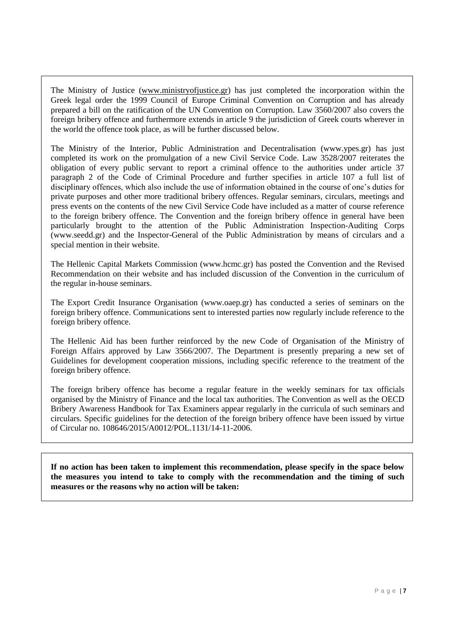The Ministry of Justice [\(www.ministryofjustice.gr\)](http://www.justice.gr/) has just completed the incorporation within the Greek legal order the 1999 Council of Europe Criminal Convention on Corruption and has already prepared a bill on the ratification of the UN Convention on Corruption. Law 3560/2007 also covers the foreign bribery offence and furthermore extends in article 9 the jurisdiction of Greek courts wherever in the world the offence took place, as will be further discussed below.

The Ministry of the Interior, Public Administration and Decentralisation (www.ypes.gr) has just completed its work on the promulgation of a new Civil Service Code. Law 3528/2007 reiterates the obligation of every public servant to report a criminal offence to the authorities under article 37 paragraph 2 of the Code of Criminal Procedure and further specifies in article 107 a full list of disciplinary offences, which also include the use of information obtained in the course of one"s duties for private purposes and other more traditional bribery offences. Regular seminars, circulars, meetings and press events on the contents of the new Civil Service Code have included as a matter of course reference to the foreign bribery offence. The Convention and the foreign bribery offence in general have been particularly brought to the attention of the Public Administration Inspection-Auditing Corps (www.seedd.gr) and the Inspector-General of the Public Administration by means of circulars and a special mention in their website.

The Hellenic Capital Markets Commission (www.hcmc.gr) has posted the Convention and the Revised Recommendation on their website and has included discussion of the Convention in the curriculum of the regular in-house seminars.

The Export Credit Insurance Organisation (www.oaep.gr) has conducted a series of seminars on the foreign bribery offence. Communications sent to interested parties now regularly include reference to the foreign bribery offence.

The Hellenic Aid has been further reinforced by the new Code of Organisation of the Ministry of Foreign Affairs approved by Law 3566/2007. The Department is presently preparing a new set of Guidelines for development cooperation missions, including specific reference to the treatment of the foreign bribery offence.

The foreign bribery offence has become a regular feature in the weekly seminars for tax officials organised by the Ministry of Finance and the local tax authorities. The Convention as well as the OECD Bribery Awareness Handbook for Tax Examiners appear regularly in the curricula of such seminars and circulars. Specific guidelines for the detection of the foreign bribery offence have been issued by virtue of Circular no. 108646/2015/A0012/POL.1131/14-11-2006.

**If no action has been taken to implement this recommendation, please specify in the space below the measures you intend to take to comply with the recommendation and the timing of such measures or the reasons why no action will be taken:**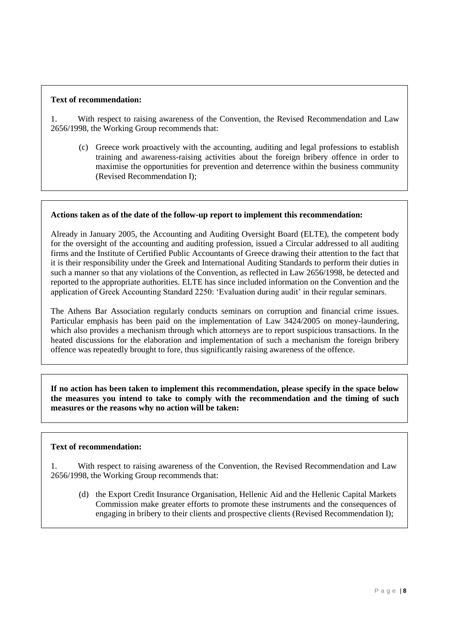#### **Text of recommendation:**

1. With respect to raising awareness of the Convention, the Revised Recommendation and Law 2656/1998, the Working Group recommends that:

(c) Greece work proactively with the accounting, auditing and legal professions to establish training and awareness-raising activities about the foreign bribery offence in order to maximise the opportunities for prevention and deterrence within the business community (Revised Recommendation I);

#### **Actions taken as of the date of the follow-up report to implement this recommendation:**

Already in January 2005, the Accounting and Auditing Oversight Board (ELTE), the competent body for the oversight of the accounting and auditing profession, issued a Circular addressed to all auditing firms and the Institute of Certified Public Accountants of Greece drawing their attention to the fact that it is their responsibility under the Greek and International Auditing Standards to perform their duties in such a manner so that any violations of the Convention, as reflected in Law 2656/1998, be detected and reported to the appropriate authorities. ELTE has since included information on the Convention and the application of Greek Accounting Standard 2250: "Evaluation during audit" in their regular seminars.

The Athens Bar Association regularly conducts seminars on corruption and financial crime issues. Particular emphasis has been paid on the implementation of Law 3424/2005 on money-laundering, which also provides a mechanism through which attorneys are to report suspicious transactions. In the heated discussions for the elaboration and implementation of such a mechanism the foreign bribery offence was repeatedly brought to fore, thus significantly raising awareness of the offence.

**If no action has been taken to implement this recommendation, please specify in the space below the measures you intend to take to comply with the recommendation and the timing of such measures or the reasons why no action will be taken:** 

# **Text of recommendation:**

1. With respect to raising awareness of the Convention, the Revised Recommendation and Law 2656/1998, the Working Group recommends that:

(d) the Export Credit Insurance Organisation, Hellenic Aid and the Hellenic Capital Markets Commission make greater efforts to promote these instruments and the consequences of engaging in bribery to their clients and prospective clients (Revised Recommendation I);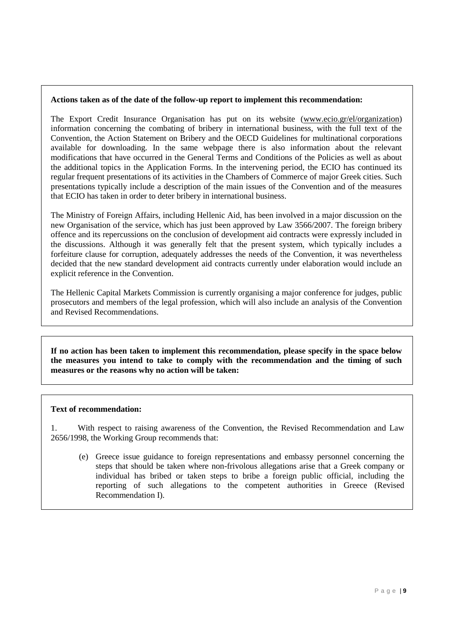The Export Credit Insurance Organisation has put on its website [\(www.ecio.gr/el/organization\)](http://www.ecio.gr/el/organization/index.html) information concerning the combating of bribery in international business, with the full text of the Convention, the Action Statement on Bribery and the OECD Guidelines for multinational corporations available for downloading. In the same webpage there is also information about the relevant modifications that have occurred in the General Terms and Conditions of the Policies as well as about the additional topics in the Application Forms. In the intervening period, the ECIO has continued its regular frequent presentations of its activities in the Chambers of Commerce of major Greek cities. Such presentations typically include a description of the main issues of the Convention and of the measures that ECIO has taken in order to deter bribery in international business.

The Ministry of Foreign Affairs, including Hellenic Aid, has been involved in a major discussion on the new Organisation of the service, which has just been approved by Law 3566/2007. The foreign bribery offence and its repercussions on the conclusion of development aid contracts were expressly included in the discussions. Although it was generally felt that the present system, which typically includes a forfeiture clause for corruption, adequately addresses the needs of the Convention, it was nevertheless decided that the new standard development aid contracts currently under elaboration would include an explicit reference in the Convention.

The Hellenic Capital Markets Commission is currently organising a major conference for judges, public prosecutors and members of the legal profession, which will also include an analysis of the Convention and Revised Recommendations.

**If no action has been taken to implement this recommendation, please specify in the space below the measures you intend to take to comply with the recommendation and the timing of such measures or the reasons why no action will be taken:** 

# **Text of recommendation:**

1. With respect to raising awareness of the Convention, the Revised Recommendation and Law 2656/1998, the Working Group recommends that:

(e) Greece issue guidance to foreign representations and embassy personnel concerning the steps that should be taken where non-frivolous allegations arise that a Greek company or individual has bribed or taken steps to bribe a foreign public official, including the reporting of such allegations to the competent authorities in Greece (Revised Recommendation I).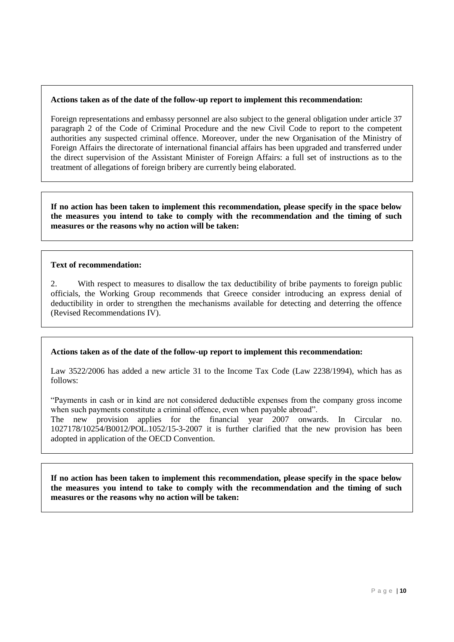Foreign representations and embassy personnel are also subject to the general obligation under article 37 paragraph 2 of the Code of Criminal Procedure and the new Civil Code to report to the competent authorities any suspected criminal offence. Moreover, under the new Organisation of the Ministry of Foreign Affairs the directorate of international financial affairs has been upgraded and transferred under the direct supervision of the Assistant Minister of Foreign Affairs: a full set of instructions as to the treatment of allegations of foreign bribery are currently being elaborated.

**If no action has been taken to implement this recommendation, please specify in the space below the measures you intend to take to comply with the recommendation and the timing of such measures or the reasons why no action will be taken:** 

#### **Text of recommendation:**

2. With respect to measures to disallow the tax deductibility of bribe payments to foreign public officials, the Working Group recommends that Greece consider introducing an express denial of deductibility in order to strengthen the mechanisms available for detecting and deterring the offence (Revised Recommendations IV).

# **Actions taken as of the date of the follow-up report to implement this recommendation:**

Law 3522/2006 has added a new article 31 to the Income Tax Code (Law 2238/1994), which has as follows:

"Payments in cash or in kind are not considered deductible expenses from the company gross income when such payments constitute a criminal offence, even when payable abroad".

The new provision applies for the financial year 2007 onwards. In Circular no. 1027178/10254/B0012/POL.1052/15-3-2007 it is further clarified that the new provision has been adopted in application of the OECD Convention.

**If no action has been taken to implement this recommendation, please specify in the space below the measures you intend to take to comply with the recommendation and the timing of such measures or the reasons why no action will be taken:**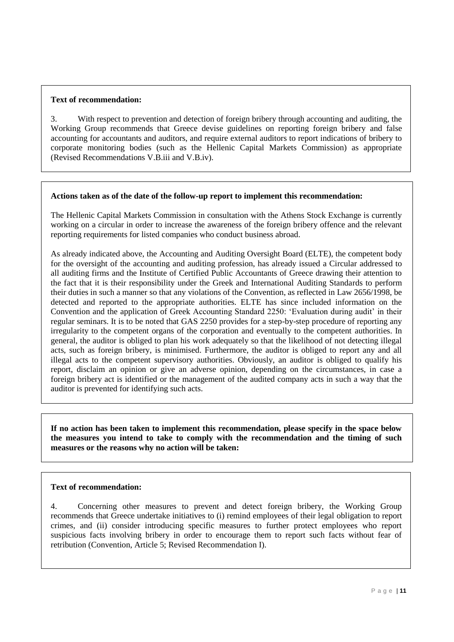#### **Text of recommendation:**

3. With respect to prevention and detection of foreign bribery through accounting and auditing, the Working Group recommends that Greece devise guidelines on reporting foreign bribery and false accounting for accountants and auditors, and require external auditors to report indications of bribery to corporate monitoring bodies (such as the Hellenic Capital Markets Commission) as appropriate (Revised Recommendations V.B.iii and V.B.iv).

#### **Actions taken as of the date of the follow-up report to implement this recommendation:**

The Hellenic Capital Markets Commission in consultation with the Athens Stock Exchange is currently working on a circular in order to increase the awareness of the foreign bribery offence and the relevant reporting requirements for listed companies who conduct business abroad.

As already indicated above, the Accounting and Auditing Oversight Board (ELTE), the competent body for the oversight of the accounting and auditing profession, has already issued a Circular addressed to all auditing firms and the Institute of Certified Public Accountants of Greece drawing their attention to the fact that it is their responsibility under the Greek and International Auditing Standards to perform their duties in such a manner so that any violations of the Convention, as reflected in Law 2656/1998, be detected and reported to the appropriate authorities. ELTE has since included information on the Convention and the application of Greek Accounting Standard 2250: 'Evaluation during audit' in their regular seminars. It is to be noted that GAS 2250 provides for a step-by-step procedure of reporting any irregularity to the competent organs of the corporation and eventually to the competent authorities. In general, the auditor is obliged to plan his work adequately so that the likelihood of not detecting illegal acts, such as foreign bribery, is minimised. Furthermore, the auditor is obliged to report any and all illegal acts to the competent supervisory authorities. Obviously, an auditor is obliged to qualify his report, disclaim an opinion or give an adverse opinion, depending on the circumstances, in case a foreign bribery act is identified or the management of the audited company acts in such a way that the auditor is prevented for identifying such acts.

**If no action has been taken to implement this recommendation, please specify in the space below the measures you intend to take to comply with the recommendation and the timing of such measures or the reasons why no action will be taken:** 

#### **Text of recommendation:**

4. Concerning other measures to prevent and detect foreign bribery, the Working Group recommends that Greece undertake initiatives to (i) remind employees of their legal obligation to report crimes, and (ii) consider introducing specific measures to further protect employees who report suspicious facts involving bribery in order to encourage them to report such facts without fear of retribution (Convention, Article 5; Revised Recommendation I).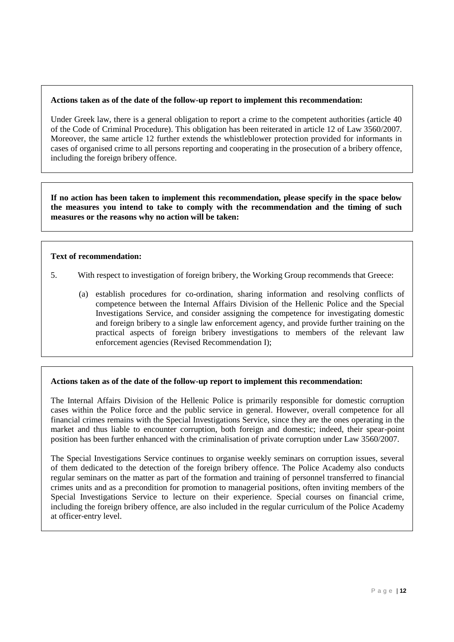Under Greek law, there is a general obligation to report a crime to the competent authorities (article 40 of the Code of Criminal Procedure). This obligation has been reiterated in article 12 of Law 3560/2007. Moreover, the same article 12 further extends the whistleblower protection provided for informants in cases of organised crime to all persons reporting and cooperating in the prosecution of a bribery offence, including the foreign bribery offence.

**If no action has been taken to implement this recommendation, please specify in the space below the measures you intend to take to comply with the recommendation and the timing of such measures or the reasons why no action will be taken:** 

#### **Text of recommendation:**

- 5. With respect to investigation of foreign bribery, the Working Group recommends that Greece:
	- (a) establish procedures for co-ordination, sharing information and resolving conflicts of competence between the Internal Affairs Division of the Hellenic Police and the Special Investigations Service, and consider assigning the competence for investigating domestic and foreign bribery to a single law enforcement agency, and provide further training on the practical aspects of foreign bribery investigations to members of the relevant law enforcement agencies (Revised Recommendation I);

# **Actions taken as of the date of the follow-up report to implement this recommendation:**

The Internal Affairs Division of the Hellenic Police is primarily responsible for domestic corruption cases within the Police force and the public service in general. However, overall competence for all financial crimes remains with the Special Investigations Service, since they are the ones operating in the market and thus liable to encounter corruption, both foreign and domestic; indeed, their spear-point position has been further enhanced with the criminalisation of private corruption under Law 3560/2007.

The Special Investigations Service continues to organise weekly seminars on corruption issues, several of them dedicated to the detection of the foreign bribery offence. The Police Academy also conducts regular seminars on the matter as part of the formation and training of personnel transferred to financial crimes units and as a precondition for promotion to managerial positions, often inviting members of the Special Investigations Service to lecture on their experience. Special courses on financial crime, including the foreign bribery offence, are also included in the regular curriculum of the Police Academy at officer-entry level.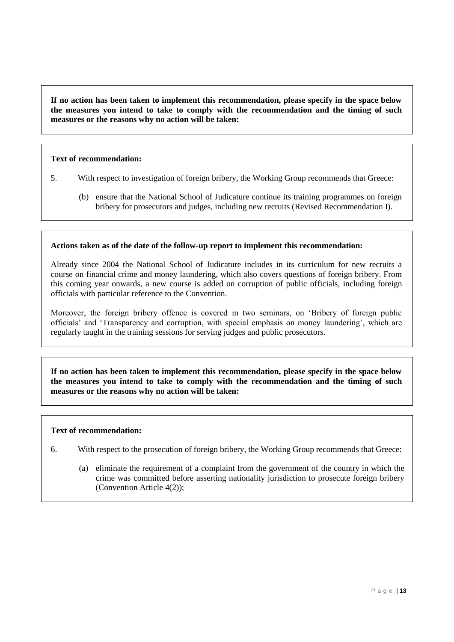**If no action has been taken to implement this recommendation, please specify in the space below the measures you intend to take to comply with the recommendation and the timing of such measures or the reasons why no action will be taken:** 

# **Text of recommendation:**

- 5. With respect to investigation of foreign bribery, the Working Group recommends that Greece:
	- (b) ensure that the National School of Judicature continue its training programmes on foreign bribery for prosecutors and judges, including new recruits (Revised Recommendation I).

#### **Actions taken as of the date of the follow-up report to implement this recommendation:**

Already since 2004 the National School of Judicature includes in its curriculum for new recruits a course on financial crime and money laundering, which also covers questions of foreign bribery. From this coming year onwards, a new course is added on corruption of public officials, including foreign officials with particular reference to the Convention.

Moreover, the foreign bribery offence is covered in two seminars, on "Bribery of foreign public officials" and "Transparency and corruption, with special emphasis on money laundering", which are regularly taught in the training sessions for serving judges and public prosecutors.

**If no action has been taken to implement this recommendation, please specify in the space below the measures you intend to take to comply with the recommendation and the timing of such measures or the reasons why no action will be taken:** 

#### **Text of recommendation:**

- 6. With respect to the prosecution of foreign bribery, the Working Group recommends that Greece:
	- (a) eliminate the requirement of a complaint from the government of the country in which the crime was committed before asserting nationality jurisdiction to prosecute foreign bribery (Convention Article 4(2));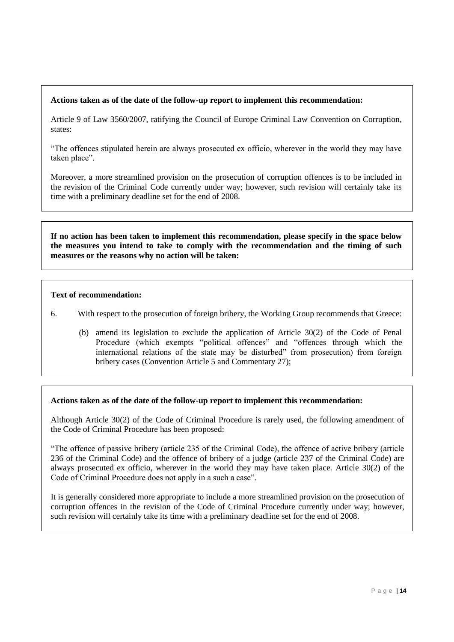Article 9 of Law 3560/2007, ratifying the Council of Europe Criminal Law Convention on Corruption, states:

"The offences stipulated herein are always prosecuted ex officio, wherever in the world they may have taken place".

Moreover, a more streamlined provision on the prosecution of corruption offences is to be included in the revision of the Criminal Code currently under way; however, such revision will certainly take its time with a preliminary deadline set for the end of 2008.

**If no action has been taken to implement this recommendation, please specify in the space below the measures you intend to take to comply with the recommendation and the timing of such measures or the reasons why no action will be taken:** 

# **Text of recommendation:**

- 6. With respect to the prosecution of foreign bribery, the Working Group recommends that Greece:
	- (b) amend its legislation to exclude the application of Article 30(2) of the Code of Penal Procedure (which exempts "political offences" and "offences through which the international relations of the state may be disturbed" from prosecution) from foreign bribery cases (Convention Article 5 and Commentary 27);

# **Actions taken as of the date of the follow-up report to implement this recommendation:**

Although Article 30(2) of the Code of Criminal Procedure is rarely used, the following amendment of the Code of Criminal Procedure has been proposed:

"The offence of passive bribery (article 235 of the Criminal Code), the offence of active bribery (article 236 of the Criminal Code) and the offence of bribery of a judge (article 237 of the Criminal Code) are always prosecuted ex officio, wherever in the world they may have taken place. Article 30(2) of the Code of Criminal Procedure does not apply in a such a case".

It is generally considered more appropriate to include a more streamlined provision on the prosecution of corruption offences in the revision of the Code of Criminal Procedure currently under way; however, such revision will certainly take its time with a preliminary deadline set for the end of 2008.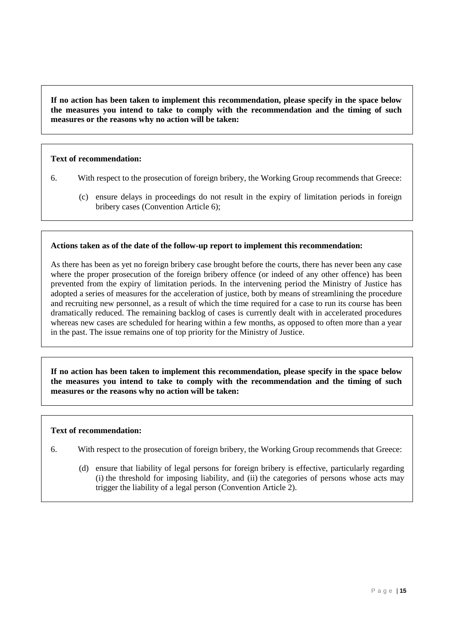**If no action has been taken to implement this recommendation, please specify in the space below the measures you intend to take to comply with the recommendation and the timing of such measures or the reasons why no action will be taken:** 

# **Text of recommendation:**

- 6. With respect to the prosecution of foreign bribery, the Working Group recommends that Greece:
	- (c) ensure delays in proceedings do not result in the expiry of limitation periods in foreign bribery cases (Convention Article 6);

#### **Actions taken as of the date of the follow-up report to implement this recommendation:**

As there has been as yet no foreign bribery case brought before the courts, there has never been any case where the proper prosecution of the foreign bribery offence (or indeed of any other offence) has been prevented from the expiry of limitation periods. In the intervening period the Ministry of Justice has adopted a series of measures for the acceleration of justice, both by means of streamlining the procedure and recruiting new personnel, as a result of which the time required for a case to run its course has been dramatically reduced. The remaining backlog of cases is currently dealt with in accelerated procedures whereas new cases are scheduled for hearing within a few months, as opposed to often more than a year in the past. The issue remains one of top priority for the Ministry of Justice.

**If no action has been taken to implement this recommendation, please specify in the space below the measures you intend to take to comply with the recommendation and the timing of such measures or the reasons why no action will be taken:** 

#### **Text of recommendation:**

- 6. With respect to the prosecution of foreign bribery, the Working Group recommends that Greece:
	- (d) ensure that liability of legal persons for foreign bribery is effective, particularly regarding (i) the threshold for imposing liability, and (ii) the categories of persons whose acts may trigger the liability of a legal person (Convention Article 2).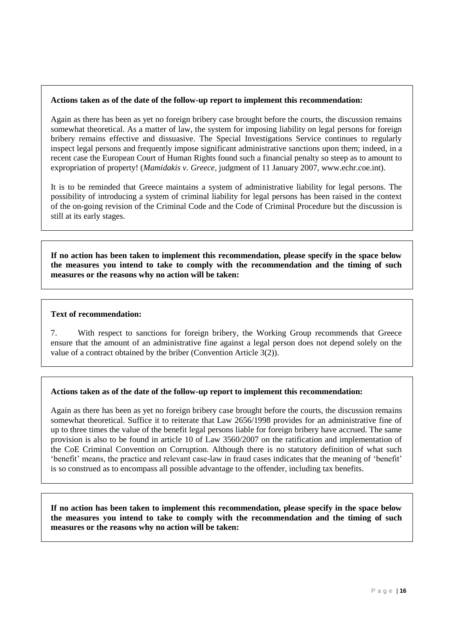Again as there has been as yet no foreign bribery case brought before the courts, the discussion remains somewhat theoretical. As a matter of law, the system for imposing liability on legal persons for foreign bribery remains effective and dissuasive. The Special Investigations Service continues to regularly inspect legal persons and frequently impose significant administrative sanctions upon them; indeed, in a recent case the European Court of Human Rights found such a financial penalty so steep as to amount to expropriation of property! (*Mamidakis v. Greece*, judgment of 11 January 2007, www.echr.coe.int).

It is to be reminded that Greece maintains a system of administrative liability for legal persons. The possibility of introducing a system of criminal liability for legal persons has been raised in the context of the on-going revision of the Criminal Code and the Code of Criminal Procedure but the discussion is still at its early stages.

**If no action has been taken to implement this recommendation, please specify in the space below the measures you intend to take to comply with the recommendation and the timing of such measures or the reasons why no action will be taken:** 

#### **Text of recommendation:**

7. With respect to sanctions for foreign bribery, the Working Group recommends that Greece ensure that the amount of an administrative fine against a legal person does not depend solely on the value of a contract obtained by the briber (Convention Article 3(2)).

# **Actions taken as of the date of the follow-up report to implement this recommendation:**

Again as there has been as yet no foreign bribery case brought before the courts, the discussion remains somewhat theoretical. Suffice it to reiterate that Law 2656/1998 provides for an administrative fine of up to three times the value of the benefit legal persons liable for foreign bribery have accrued. The same provision is also to be found in article 10 of Law 3560/2007 on the ratification and implementation of the CoE Criminal Convention on Corruption. Although there is no statutory definition of what such "benefit" means, the practice and relevant case-law in fraud cases indicates that the meaning of "benefit" is so construed as to encompass all possible advantage to the offender, including tax benefits.

**If no action has been taken to implement this recommendation, please specify in the space below the measures you intend to take to comply with the recommendation and the timing of such measures or the reasons why no action will be taken:**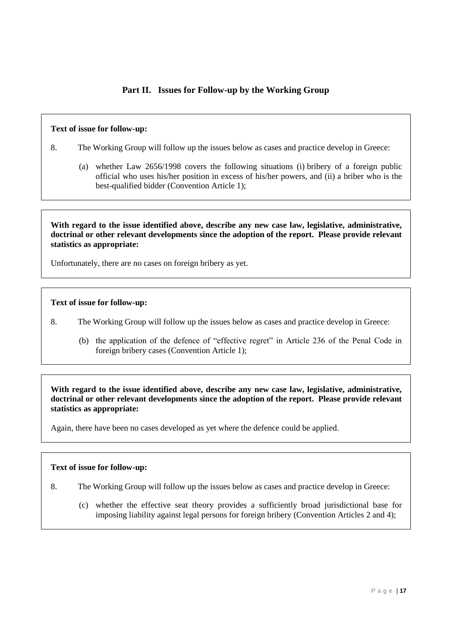# **Part II. Issues for Follow-up by the Working Group**

#### **Text of issue for follow-up:**

- 8. The Working Group will follow up the issues below as cases and practice develop in Greece:
	- (a) whether Law 2656/1998 covers the following situations (i) bribery of a foreign public official who uses his/her position in excess of his/her powers, and (ii) a briber who is the best-qualified bidder (Convention Article 1);

**With regard to the issue identified above, describe any new case law, legislative, administrative, doctrinal or other relevant developments since the adoption of the report. Please provide relevant statistics as appropriate:**

Unfortunately, there are no cases on foreign bribery as yet.

#### **Text of issue for follow-up:**

- 8. The Working Group will follow up the issues below as cases and practice develop in Greece:
	- (b) the application of the defence of "effective regret" in Article 236 of the Penal Code in foreign bribery cases (Convention Article 1);

**With regard to the issue identified above, describe any new case law, legislative, administrative, doctrinal or other relevant developments since the adoption of the report. Please provide relevant statistics as appropriate:**

Again, there have been no cases developed as yet where the defence could be applied.

#### **Text of issue for follow-up:**

- 8. The Working Group will follow up the issues below as cases and practice develop in Greece:
	- (c) whether the effective seat theory provides a sufficiently broad jurisdictional base for imposing liability against legal persons for foreign bribery (Convention Articles 2 and 4);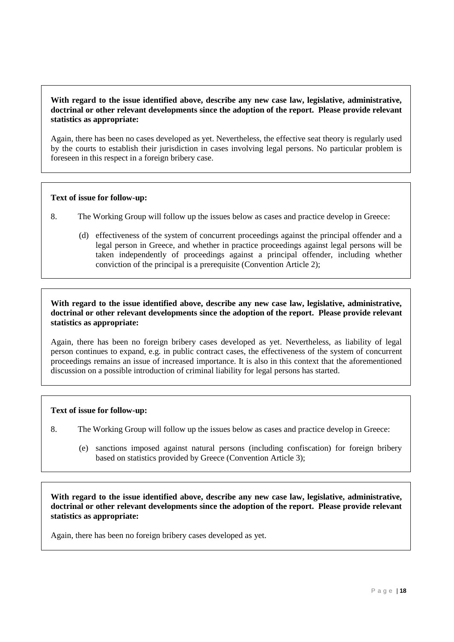# **With regard to the issue identified above, describe any new case law, legislative, administrative, doctrinal or other relevant developments since the adoption of the report. Please provide relevant statistics as appropriate:**

Again, there has been no cases developed as yet. Nevertheless, the effective seat theory is regularly used by the courts to establish their jurisdiction in cases involving legal persons. No particular problem is foreseen in this respect in a foreign bribery case.

# **Text of issue for follow-up:**

- 8. The Working Group will follow up the issues below as cases and practice develop in Greece:
	- (d) effectiveness of the system of concurrent proceedings against the principal offender and a legal person in Greece, and whether in practice proceedings against legal persons will be taken independently of proceedings against a principal offender, including whether conviction of the principal is a prerequisite (Convention Article 2);

#### **With regard to the issue identified above, describe any new case law, legislative, administrative, doctrinal or other relevant developments since the adoption of the report. Please provide relevant statistics as appropriate:**

Again, there has been no foreign bribery cases developed as yet. Nevertheless, as liability of legal person continues to expand, e.g. in public contract cases, the effectiveness of the system of concurrent proceedings remains an issue of increased importance. It is also in this context that the aforementioned discussion on a possible introduction of criminal liability for legal persons has started.

# **Text of issue for follow-up:**

- 8. The Working Group will follow up the issues below as cases and practice develop in Greece:
	- (e) sanctions imposed against natural persons (including confiscation) for foreign bribery based on statistics provided by Greece (Convention Article 3);

**With regard to the issue identified above, describe any new case law, legislative, administrative, doctrinal or other relevant developments since the adoption of the report. Please provide relevant statistics as appropriate:**

Again, there has been no foreign bribery cases developed as yet.